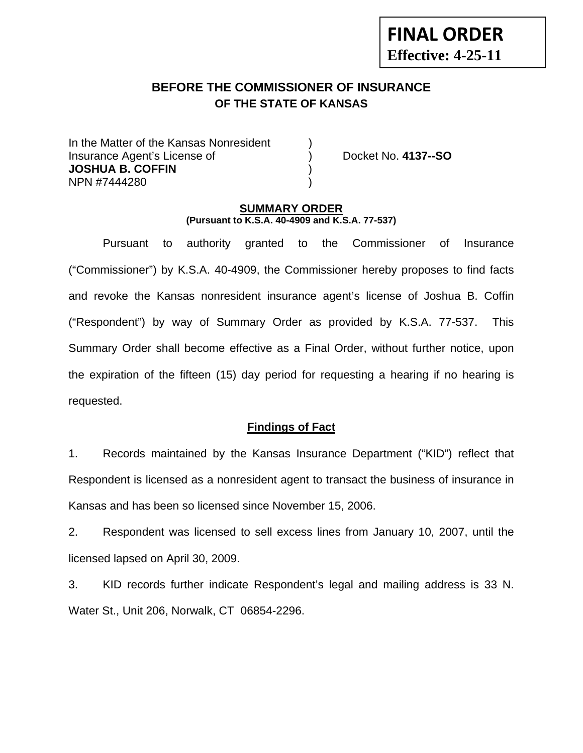# **BEFORE THE COMMISSIONER OF INSURANCE OF THE STATE OF KANSAS**

In the Matter of the Kansas Nonresident Insurance Agent's License of ) Docket No. **4137--SO JOSHUA B. COFFIN** ) NPN #7444280 )

**FINAL ORDER**

**Effective: 4-25-11** 

### **SUMMARY ORDER (Pursuant to K.S.A. 40-4909 and K.S.A. 77-537)**

 Pursuant to authority granted to the Commissioner of Insurance ("Commissioner") by K.S.A. 40-4909, the Commissioner hereby proposes to find facts and revoke the Kansas nonresident insurance agent's license of Joshua B. Coffin ("Respondent") by way of Summary Order as provided by K.S.A. 77-537. This Summary Order shall become effective as a Final Order, without further notice, upon the expiration of the fifteen (15) day period for requesting a hearing if no hearing is requested.

## **Findings of Fact**

1. Records maintained by the Kansas Insurance Department ("KID") reflect that Respondent is licensed as a nonresident agent to transact the business of insurance in Kansas and has been so licensed since November 15, 2006.

2. Respondent was licensed to sell excess lines from January 10, 2007, until the licensed lapsed on April 30, 2009.

3. KID records further indicate Respondent's legal and mailing address is 33 N. Water St., Unit 206, Norwalk, CT 06854-2296.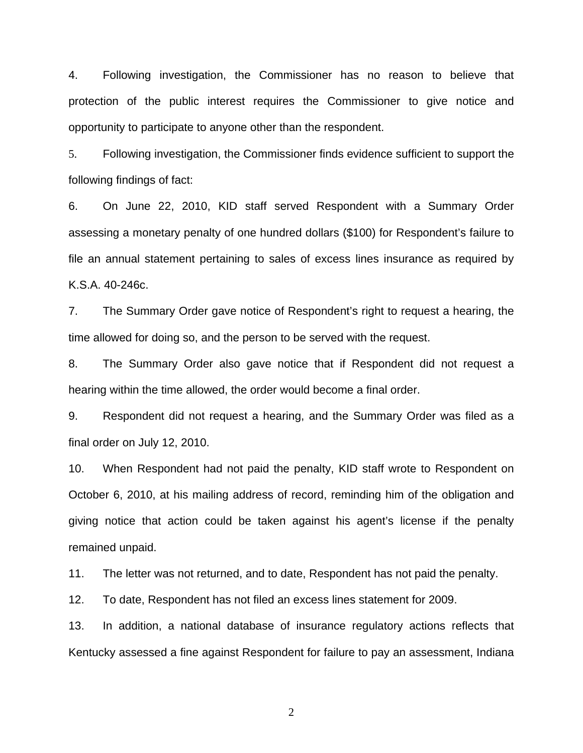4. Following investigation, the Commissioner has no reason to believe that protection of the public interest requires the Commissioner to give notice and opportunity to participate to anyone other than the respondent.

5. Following investigation, the Commissioner finds evidence sufficient to support the following findings of fact:

6. On June 22, 2010, KID staff served Respondent with a Summary Order assessing a monetary penalty of one hundred dollars (\$100) for Respondent's failure to file an annual statement pertaining to sales of excess lines insurance as required by K.S.A. 40-246c.

7. The Summary Order gave notice of Respondent's right to request a hearing, the time allowed for doing so, and the person to be served with the request.

8. The Summary Order also gave notice that if Respondent did not request a hearing within the time allowed, the order would become a final order.

9. Respondent did not request a hearing, and the Summary Order was filed as a final order on July 12, 2010.

10. When Respondent had not paid the penalty, KID staff wrote to Respondent on October 6, 2010, at his mailing address of record, reminding him of the obligation and giving notice that action could be taken against his agent's license if the penalty remained unpaid.

11. The letter was not returned, and to date, Respondent has not paid the penalty.

12. To date, Respondent has not filed an excess lines statement for 2009.

13. In addition, a national database of insurance regulatory actions reflects that Kentucky assessed a fine against Respondent for failure to pay an assessment, Indiana

2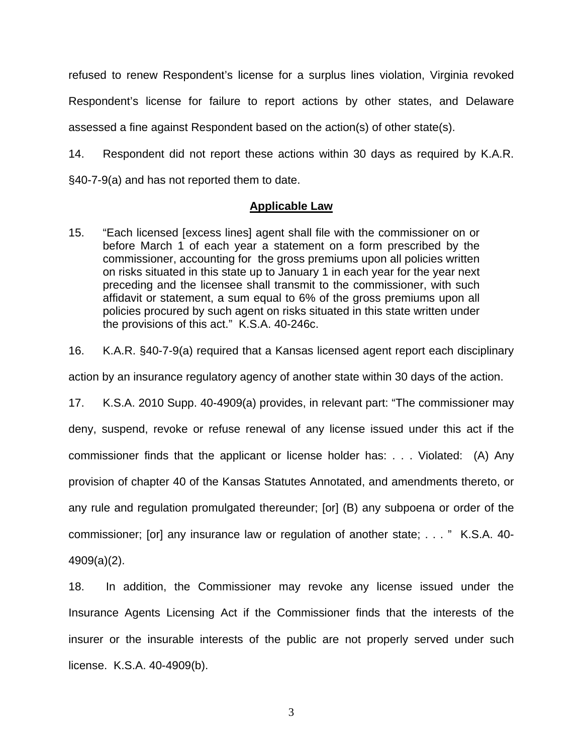refused to renew Respondent's license for a surplus lines violation, Virginia revoked Respondent's license for failure to report actions by other states, and Delaware assessed a fine against Respondent based on the action(s) of other state(s).

14. Respondent did not report these actions within 30 days as required by K.A.R. §40-7-9(a) and has not reported them to date.

### **Applicable Law**

- 15. "Each licensed [excess lines] agent shall file with the commissioner on or before March 1 of each year a statement on a form prescribed by the commissioner, accounting for the gross premiums upon all policies written on risks situated in this state up to January 1 in each year for the year next preceding and the licensee shall transmit to the commissioner, with such affidavit or statement, a sum equal to 6% of the gross premiums upon all policies procured by such agent on risks situated in this state written under the provisions of this act." K.S.A. 40-246c.
- 16. K.A.R. §40-7-9(a) required that a Kansas licensed agent report each disciplinary

action by an insurance regulatory agency of another state within 30 days of the action.

17. K.S.A. 2010 Supp. 40-4909(a) provides, in relevant part: "The commissioner may deny, suspend, revoke or refuse renewal of any license issued under this act if the commissioner finds that the applicant or license holder has: . . . Violated: (A) Any provision of chapter 40 of the Kansas Statutes Annotated, and amendments thereto, or any rule and regulation promulgated thereunder; [or] (B) any subpoena or order of the commissioner; [or] any insurance law or regulation of another state; . . . " K.S.A. 40- 4909(a)(2).

18. In addition, the Commissioner may revoke any license issued under the Insurance Agents Licensing Act if the Commissioner finds that the interests of the insurer or the insurable interests of the public are not properly served under such license. K.S.A. 40-4909(b).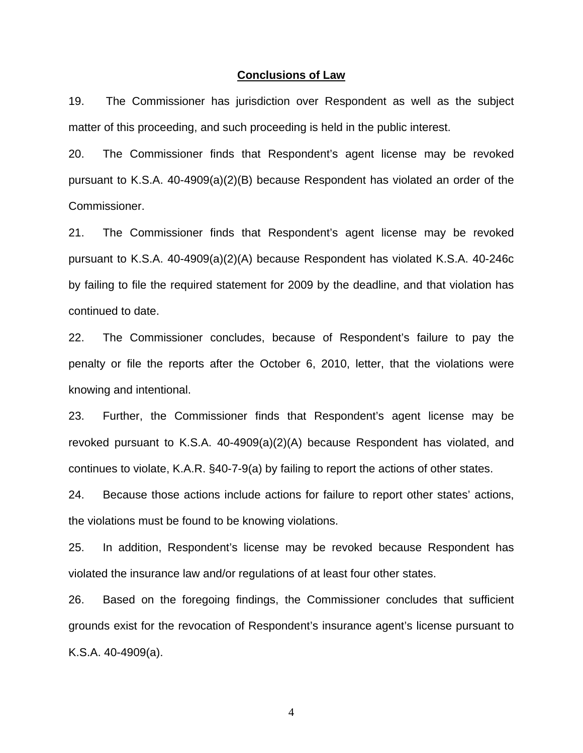#### **Conclusions of Law**

19. The Commissioner has jurisdiction over Respondent as well as the subject matter of this proceeding, and such proceeding is held in the public interest.

20. The Commissioner finds that Respondent's agent license may be revoked pursuant to K.S.A. 40-4909(a)(2)(B) because Respondent has violated an order of the Commissioner.

21. The Commissioner finds that Respondent's agent license may be revoked pursuant to K.S.A. 40-4909(a)(2)(A) because Respondent has violated K.S.A. 40-246c by failing to file the required statement for 2009 by the deadline, and that violation has continued to date.

22. The Commissioner concludes, because of Respondent's failure to pay the penalty or file the reports after the October 6, 2010, letter, that the violations were knowing and intentional.

23. Further, the Commissioner finds that Respondent's agent license may be revoked pursuant to K.S.A. 40-4909(a)(2)(A) because Respondent has violated, and continues to violate, K.A.R. §40-7-9(a) by failing to report the actions of other states.

24. Because those actions include actions for failure to report other states' actions, the violations must be found to be knowing violations.

25. In addition, Respondent's license may be revoked because Respondent has violated the insurance law and/or regulations of at least four other states.

26. Based on the foregoing findings, the Commissioner concludes that sufficient grounds exist for the revocation of Respondent's insurance agent's license pursuant to K.S.A. 40-4909(a).

4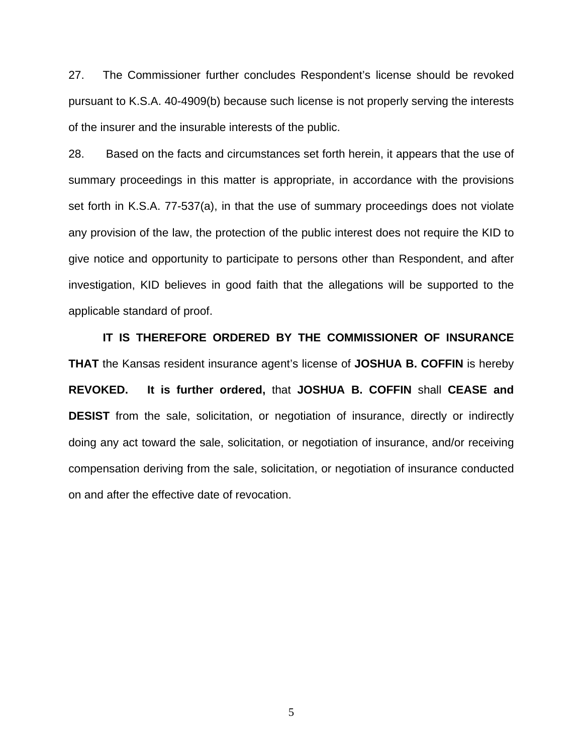27. The Commissioner further concludes Respondent's license should be revoked pursuant to K.S.A. 40-4909(b) because such license is not properly serving the interests of the insurer and the insurable interests of the public.

28. Based on the facts and circumstances set forth herein, it appears that the use of summary proceedings in this matter is appropriate, in accordance with the provisions set forth in K.S.A. 77-537(a), in that the use of summary proceedings does not violate any provision of the law, the protection of the public interest does not require the KID to give notice and opportunity to participate to persons other than Respondent, and after investigation, KID believes in good faith that the allegations will be supported to the applicable standard of proof.

 **IT IS THEREFORE ORDERED BY THE COMMISSIONER OF INSURANCE THAT** the Kansas resident insurance agent's license of **JOSHUA B. COFFIN** is hereby **REVOKED. It is further ordered,** that **JOSHUA B. COFFIN** shall **CEASE and DESIST** from the sale, solicitation, or negotiation of insurance, directly or indirectly doing any act toward the sale, solicitation, or negotiation of insurance, and/or receiving compensation deriving from the sale, solicitation, or negotiation of insurance conducted on and after the effective date of revocation.

5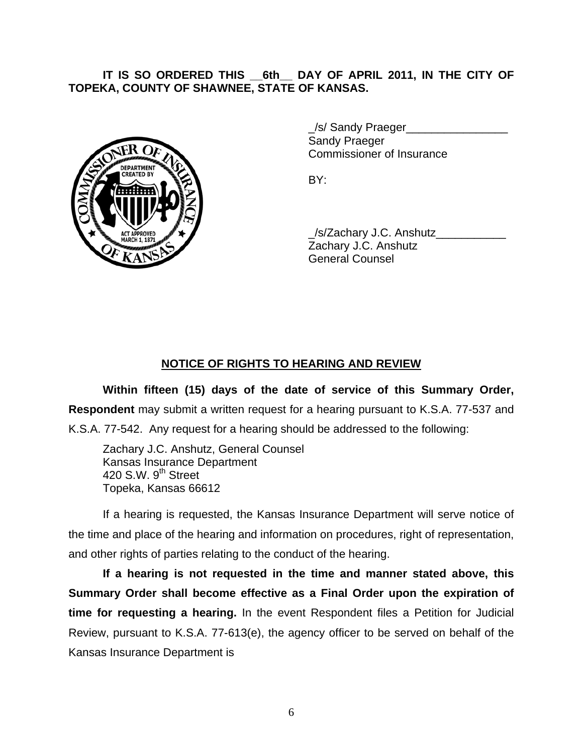# **IT IS SO ORDERED THIS \_\_6th\_\_ DAY OF APRIL 2011, IN THE CITY OF TOPEKA, COUNTY OF SHAWNEE, STATE OF KANSAS.**



/s/ Sandy Praeger Sandy Praeger Commissioner of Insurance

/s/Zachary J.C. Anshutz Zachary J.C. Anshutz General Counsel

# **NOTICE OF RIGHTS TO HEARING AND REVIEW**

**Within fifteen (15) days of the date of service of this Summary Order, Respondent** may submit a written request for a hearing pursuant to K.S.A. 77-537 and

K.S.A. 77-542. Any request for a hearing should be addressed to the following:

 Zachary J.C. Anshutz, General Counsel Kansas Insurance Department 420 S.W.  $9<sup>th</sup>$  Street Topeka, Kansas 66612

If a hearing is requested, the Kansas Insurance Department will serve notice of the time and place of the hearing and information on procedures, right of representation, and other rights of parties relating to the conduct of the hearing.

**If a hearing is not requested in the time and manner stated above, this Summary Order shall become effective as a Final Order upon the expiration of time for requesting a hearing.** In the event Respondent files a Petition for Judicial Review, pursuant to K.S.A. 77-613(e), the agency officer to be served on behalf of the Kansas Insurance Department is